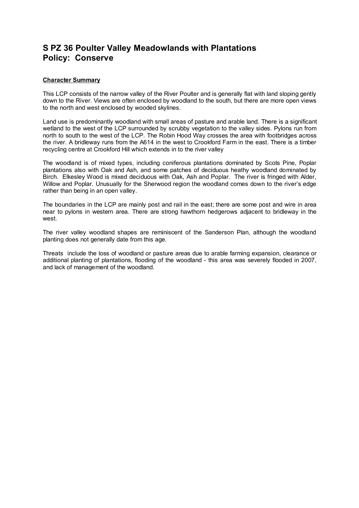## **S PZ 36 Poulter Valley Meadowlands with Plantations Policy: Conserve**

## **Character Summary**

This LCP consists of the narrow valley of the River Poulter and is generally flat with land sloping gently down to the River. Views are often enclosed by woodland to the south, but there are more open views to the north and west enclosed by wooded skylines.

Land use is predominantly woodland with small areas of pasture and arable land. There is a significant wetland to the west of the LCP surrounded by scrubby vegetation to the valley sides. Pylons run from north to south to the west of the LCP. The Robin Hood Way crosses the area with footbridges across the river. A bridleway runs from the A614 in the west to Crookford Farm in the east. There is a timber recycling centre at Crookford Hill which extends in to the river valley

The woodland is of mixed types, including coniferous plantations dominated by Scots Pine, Poplar plantations also with Oak and Ash, and some patches of deciduous heathy woodland dominated by Birch. Elkesley Wood is mixed deciduous with Oak, Ash and Poplar. The river is fringed with Alder, Willow and Poplar. Unusually for the Sherwood region the woodland comes down to the river's edge rather than being in an open valley.

The boundaries in the LCP are mainly post and rail in the east; there are some post and wire in area near to pylons in western area. There are strong hawthorn hedgerows adjacent to bridleway in the west.

The river valley woodland shapes are reminiscent of the Sanderson Plan, although the woodland planting does not generally date from this age.

Threats include the loss of woodland or pasture areas due to arable farming expansion, clearance or additional planting of plantations, flooding of the woodland - this area was severely flooded in 2007, and lack of management of the woodland.